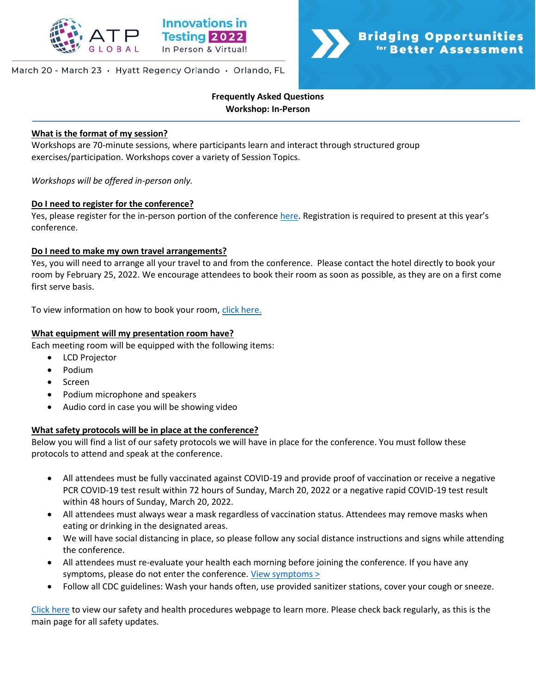

## March 20 - March 23 · Hyatt Regency Orlando · Orlando, FL



# **Frequently Asked Questions Workshop: In-Person**

#### **What is the format of my session?**

Workshops are 70-minute sessions, where participants learn and interact through structured group exercises/participation. Workshops cover a variety of Session Topics.

*Workshops will be offered in-person only.*

## **Do I need to register for the conference?**

Yes, please register for the in-person portion of the conference [here](https://na.eventscloud.com/ereg/index.php?eventid=639135&). Registration is required to present at this year's conference.

## **Do I need to make my own travel arrangements?**

Yes, you will need to arrange all your travel to and from the conference. Please contact the hotel directly to book your room by February 25, 2022. We encourage attendees to book their room as soon as possible, as they are on a first come first serve basis.

To view information on how to book your room, [click here.](http://www.innovationsintesting.org/venue.aspx)

## **What equipment will my presentation room have?**

Each meeting room will be equipped with the following items:

- LCD Projector
- Podium
- Screen
- Podium microphone and speakers
- Audio cord in case you will be showing video

#### **What safety protocols will be in place at the conference?**

Below you will find a list of our safety protocols we will have in place for the conference. You must follow these protocols to attend and speak at the conference.

- All attendees must be fully vaccinated against COVID-19 and provide proof of vaccination or receive a negative PCR COVID-19 test result within 72 hours of Sunday, March 20, 2022 or a negative rapid COVID-19 test result within 48 hours of Sunday, March 20, 2022.
- All attendees must always wear a mask regardless of vaccination status. Attendees may remove masks when eating or drinking in the designated areas.
- We will have social distancing in place, so please follow any social distance instructions and signs while attending the conference.
- All attendees must re-evaluate your health each morning before joining the conference. If you have any symptoms, please do not enter the conference. [View symptoms >](https://www.cdc.gov/coronavirus/2019-ncov/symptoms-testing/symptoms.html)
- Follow all CDC guidelines: Wash your hands often, use provided sanitizer stations, cover your cough or sneeze.

[Click here](http://www.innovationsintesting.org/health-safety-procedures.aspx) to view our safety and health procedures webpage to learn more. Please check back regularly, as this is the main page for all safety updates.